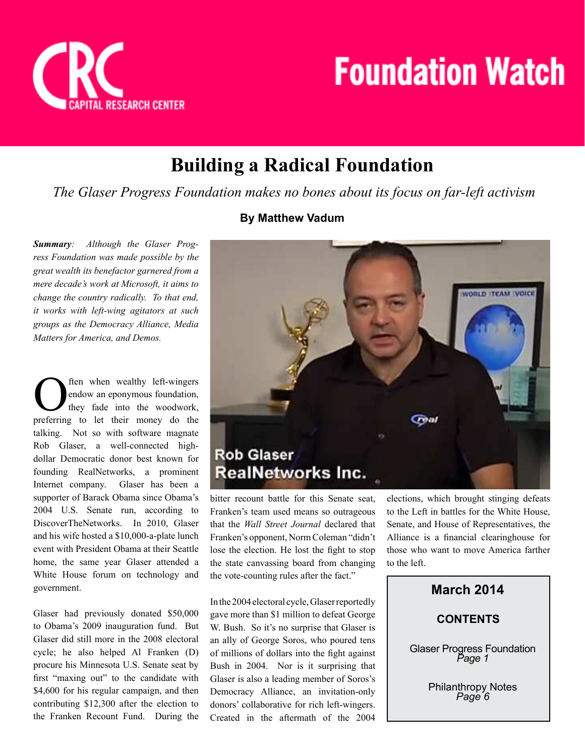

## **Building a Radical Foundation**

 *The Glaser Progress Foundation makes no bones about its focus on far-left activism*

*Summary: Although the Glaser Progress Foundation was made possible by the great wealth its benefactor garnered from a mere decade's work at Microsoft, it aims to change the country radically. To that end, it works with left-wing agitators at such groups as the Democracy Alliance, Media Matters for America, and Demos.*

O preferring to let their money do the ften when wealthy left-wingers endow an eponymous foundation, they fade into the woodwork, talking. Not so with software magnate Rob Glaser, a well-connected highdollar Democratic donor best known for founding RealNetworks, a prominent Internet company. Glaser has been a supporter of Barack Obama since Obama's 2004 U.S. Senate run, according to DiscoverTheNetworks. In 2010, Glaser and his wife hosted a \$10,000-a-plate lunch event with President Obama at their Seattle home, the same year Glaser attended a White House forum on technology and government.

Glaser had previously donated \$50,000 to Obama's 2009 inauguration fund. But Glaser did still more in the 2008 electoral cycle; he also helped Al Franken (D) procure his Minnesota U.S. Senate seat by first "maxing out" to the candidate with \$4,600 for his regular campaign, and then contributing \$12,300 after the election to the Franken Recount Fund. During the

#### **By Matthew Vadum**



bitter recount battle for this Senate seat, Franken's team used means so outrageous that the *Wall Street Journal* declared that Franken's opponent, Norm Coleman "didn't lose the election. He lost the fight to stop the state canvassing board from changing the vote-counting rules after the fact."

In the 2004 electoral cycle, Glaser reportedly gave more than \$1 million to defeat George W. Bush. So it's no surprise that Glaser is an ally of George Soros, who poured tens of millions of dollars into the fight against Bush in 2004. Nor is it surprising that Glaser is also a leading member of Soros's Democracy Alliance, an invitation-only donors' collaborative for rich left-wingers. Created in the aftermath of the 2004

elections, which brought stinging defeats to the Left in battles for the White House, Senate, and House of Representatives, the Alliance is a financial clearinghouse for those who want to move America farther to the left.

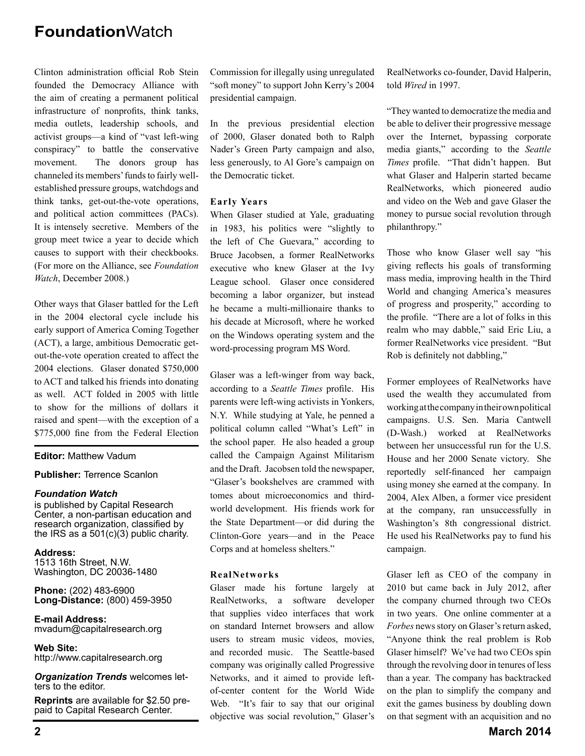Clinton administration official Rob Stein founded the Democracy Alliance with the aim of creating a permanent political infrastructure of nonprofits, think tanks, media outlets, leadership schools, and activist groups—a kind of "vast left-wing conspiracy" to battle the conservative movement. The donors group has channeled its members' funds to fairly wellestablished pressure groups, watchdogs and think tanks, get-out-the-vote operations, and political action committees (PACs). It is intensely secretive. Members of the group meet twice a year to decide which causes to support with their checkbooks. (For more on the Alliance, see *Foundation Watch*, December 2008.)

Other ways that Glaser battled for the Left in the 2004 electoral cycle include his early support of America Coming Together (ACT), a large, ambitious Democratic getout-the-vote operation created to affect the 2004 elections. Glaser donated \$750,000 to ACT and talked his friends into donating as well. ACT folded in 2005 with little to show for the millions of dollars it raised and spent—with the exception of a \$775,000 fine from the Federal Election

#### **Editor:** Matthew Vadum

#### **Publisher:** Terrence Scanlon

#### *Foundation Watch*

is published by Capital Research Center, a non-partisan education and research organization, classified by the IRS as a 501(c)(3) public charity.

**Address:** 1513 16th Street, N.W. Washington, DC 20036-1480

**Phone:** (202) 483-6900 **Long-Distance:** (800) 459-3950

**E-mail Address:** mvadum@capitalresearch.org

**Web Site:** http://www.capitalresearch.org

*Organization Trends* welcomes letters to the editor.

**Reprints** are available for \$2.50 prepaid to Capital Research Center.

Commission for illegally using unregulated "soft money" to support John Kerry's 2004 presidential campaign.

In the previous presidential election of 2000, Glaser donated both to Ralph Nader's Green Party campaign and also, less generously, to Al Gore's campaign on the Democratic ticket.

#### **Early Years**

When Glaser studied at Yale, graduating in 1983, his politics were "slightly to the left of Che Guevara," according to Bruce Jacobsen, a former RealNetworks executive who knew Glaser at the Ivy League school. Glaser once considered becoming a labor organizer, but instead he became a multi-millionaire thanks to his decade at Microsoft, where he worked on the Windows operating system and the word-processing program MS Word.

Glaser was a left-winger from way back, according to a *Seattle Times* profile. His parents were left-wing activists in Yonkers, N.Y. While studying at Yale, he penned a political column called "What's Left" in the school paper. He also headed a group called the Campaign Against Militarism and the Draft. Jacobsen told the newspaper, "Glaser's bookshelves are crammed with tomes about microeconomics and thirdworld development. His friends work for the State Department—or did during the Clinton-Gore years—and in the Peace Corps and at homeless shelters."

#### **RealNetworks**

Glaser made his fortune largely at RealNetworks, a software developer that supplies video interfaces that work on standard Internet browsers and allow users to stream music videos, movies, and recorded music. The Seattle-based company was originally called Progressive Networks, and it aimed to provide leftof-center content for the World Wide Web. "It's fair to say that our original objective was social revolution," Glaser's RealNetworks co-founder, David Halperin, told *Wired* in 1997.

"They wanted to democratize the media and be able to deliver their progressive message over the Internet, bypassing corporate media giants," according to the *Seattle Times* profile. "That didn't happen. But what Glaser and Halperin started became RealNetworks, which pioneered audio and video on the Web and gave Glaser the money to pursue social revolution through philanthropy."

Those who know Glaser well say "his giving reflects his goals of transforming mass media, improving health in the Third World and changing America's measures of progress and prosperity," according to the profile. "There are a lot of folks in this realm who may dabble," said Eric Liu, a former RealNetworks vice president. "But Rob is definitely not dabbling,"

Former employees of RealNetworks have used the wealth they accumulated from working at the company in their own political campaigns. U.S. Sen. Maria Cantwell (D-Wash.) worked at RealNetworks between her unsuccessful run for the U.S. House and her 2000 Senate victory. She reportedly self-financed her campaign using money she earned at the company. In 2004, Alex Alben, a former vice president at the company, ran unsuccessfully in Washington's 8th congressional district. He used his RealNetworks pay to fund his campaign.

Glaser left as CEO of the company in 2010 but came back in July 2012, after the company churned through two CEOs in two years. One online commenter at a *Forbes* news story on Glaser's return asked, "Anyone think the real problem is Rob Glaser himself? We've had two CEOs spin through the revolving door in tenures of less than a year. The company has backtracked on the plan to simplify the company and exit the games business by doubling down on that segment with an acquisition and no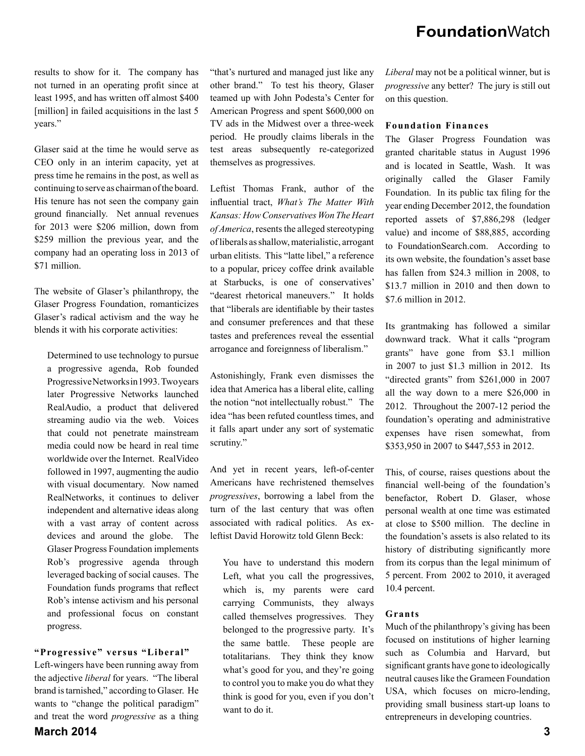results to show for it. The company has not turned in an operating profit since at least 1995, and has written off almost \$400 [million] in failed acquisitions in the last 5 years."

Glaser said at the time he would serve as CEO only in an interim capacity, yet at press time he remains in the post, as well as continuing to serve as chairman of the board. His tenure has not seen the company gain ground financially. Net annual revenues for 2013 were \$206 million, down from \$259 million the previous year, and the company had an operating loss in 2013 of \$71 million.

The website of Glaser's philanthropy, the Glaser Progress Foundation, romanticizes Glaser's radical activism and the way he blends it with his corporate activities:

Determined to use technology to pursue a progressive agenda, Rob founded Progressive Networks in 1993. Two years later Progressive Networks launched RealAudio, a product that delivered streaming audio via the web. Voices that could not penetrate mainstream media could now be heard in real time worldwide over the Internet. RealVideo followed in 1997, augmenting the audio with visual documentary. Now named RealNetworks, it continues to deliver independent and alternative ideas along with a vast array of content across devices and around the globe. The Glaser Progress Foundation implements Rob's progressive agenda through leveraged backing of social causes. The Foundation funds programs that reflect Rob's intense activism and his personal and professional focus on constant progress.

#### **"Progressive" versus "Liberal"**

Left-wingers have been running away from the adjective *liberal* for years. "The liberal brand is tarnished," according to Glaser. He wants to "change the political paradigm" and treat the word *progressive* as a thing "that's nurtured and managed just like any other brand." To test his theory, Glaser teamed up with John Podesta's Center for American Progress and spent \$600,000 on TV ads in the Midwest over a three-week period. He proudly claims liberals in the test areas subsequently re-categorized themselves as progressives.

Leftist Thomas Frank, author of the influential tract, What's The Matter With *Kansas: How Conservatives Won The Heart of America*, resents the alleged stereotyping of liberals as shallow, materialistic, arrogant urban elitists. This "latte libel," a reference to a popular, pricey coffee drink available at Starbucks, is one of conservatives' "dearest rhetorical maneuvers." It holds that "liberals are identifiable by their tastes and consumer preferences and that these tastes and preferences reveal the essential arrogance and foreignness of liberalism."

Astonishingly, Frank even dismisses the idea that America has a liberal elite, calling the notion "not intellectually robust." The idea "has been refuted countless times, and it falls apart under any sort of systematic scrutiny."

And yet in recent years, left-of-center Americans have rechristened themselves *progressives*, borrowing a label from the turn of the last century that was often associated with radical politics. As exleftist David Horowitz told Glenn Beck:

You have to understand this modern Left, what you call the progressives, which is, my parents were card carrying Communists, they always called themselves progressives. They belonged to the progressive party. It's the same battle. These people are totalitarians. They think they know what's good for you, and they're going to control you to make you do what they think is good for you, even if you don't want to do it.

*Liberal* may not be a political winner, but is *progressive* any better? The jury is still out on this question.

#### **Foundation Finances**

The Glaser Progress Foundation was granted charitable status in August 1996 and is located in Seattle, Wash. It was originally called the Glaser Family Foundation. In its public tax filing for the year ending December 2012, the foundation reported assets of \$7,886,298 (ledger value) and income of \$88,885, according to FoundationSearch.com. According to its own website, the foundation's asset base has fallen from \$24.3 million in 2008, to \$13.7 million in 2010 and then down to \$7.6 million in 2012.

Its grantmaking has followed a similar downward track. What it calls "program grants" have gone from \$3.1 million in 2007 to just \$1.3 million in 2012. Its "directed grants" from \$261,000 in 2007 all the way down to a mere \$26,000 in 2012. Throughout the 2007-12 period the foundation's operating and administrative expenses have risen somewhat, from \$353,950 in 2007 to \$447,553 in 2012.

This, of course, raises questions about the financial well-being of the foundation's benefactor, Robert D. Glaser, whose personal wealth at one time was estimated at close to \$500 million. The decline in the foundation's assets is also related to its history of distributing significantly more from its corpus than the legal minimum of 5 percent. From 2002 to 2010, it averaged 10.4 percent.

#### **Grants**

Much of the philanthropy's giving has been focused on institutions of higher learning such as Columbia and Harvard, but significant grants have gone to ideologically neutral causes like the Grameen Foundation USA, which focuses on micro-lending, providing small business start-up loans to entrepreneurs in developing countries.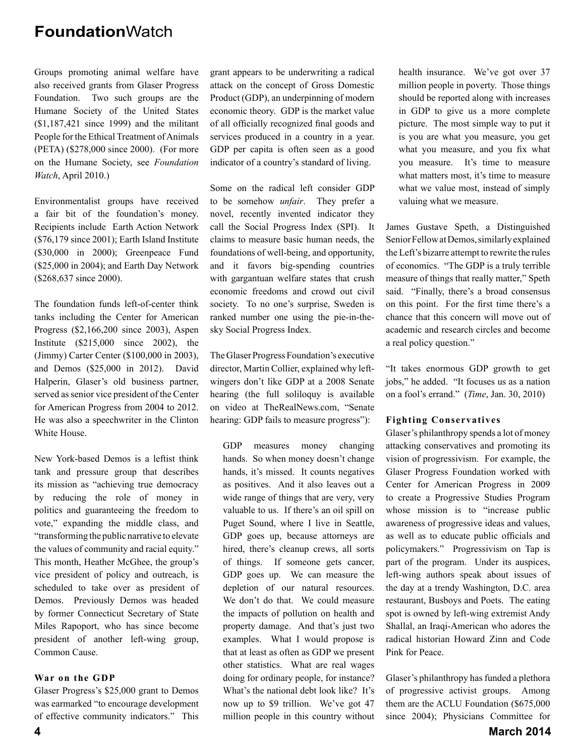Groups promoting animal welfare have also received grants from Glaser Progress Foundation. Two such groups are the Humane Society of the United States (\$1,187,421 since 1999) and the militant People for the Ethical Treatment of Animals (PETA) (\$278,000 since 2000). (For more on the Humane Society, see *Foundation Watch*, April 2010.)

Environmentalist groups have received a fair bit of the foundation's money. Recipients include Earth Action Network (\$76,179 since 2001); Earth Island Institute (\$30,000 in 2000); Greenpeace Fund (\$25,000 in 2004); and Earth Day Network (\$268,637 since 2000).

The foundation funds left-of-center think tanks including the Center for American Progress (\$2,166,200 since 2003), Aspen Institute (\$215,000 since 2002), the (Jimmy) Carter Center (\$100,000 in 2003), and Demos (\$25,000 in 2012). David Halperin, Glaser's old business partner, served as senior vice president of the Center for American Progress from 2004 to 2012. He was also a speechwriter in the Clinton White House.

New York-based Demos is a leftist think tank and pressure group that describes its mission as "achieving true democracy by reducing the role of money in politics and guaranteeing the freedom to vote," expanding the middle class, and "transforming the public narrative to elevate the values of community and racial equity." This month, Heather McGhee, the group's vice president of policy and outreach, is scheduled to take over as president of Demos. Previously Demos was headed by former Connecticut Secretary of State Miles Rapoport, who has since become president of another left-wing group, Common Cause.

#### **War on the GDP**

Glaser Progress's \$25,000 grant to Demos was earmarked "to encourage development of effective community indicators." This

grant appears to be underwriting a radical attack on the concept of Gross Domestic Product (GDP), an underpinning of modern economic theory. GDP is the market value of all officially recognized final goods and services produced in a country in a year. GDP per capita is often seen as a good indicator of a country's standard of living.

Some on the radical left consider GDP to be somehow *unfair*. They prefer a novel, recently invented indicator they call the Social Progress Index (SPI). It claims to measure basic human needs, the foundations of well-being, and opportunity, and it favors big-spending countries with gargantuan welfare states that crush economic freedoms and crowd out civil society. To no one's surprise, Sweden is ranked number one using the pie-in-thesky Social Progress Index.

The Glaser Progress Foundation's executive director, Martin Collier, explained why leftwingers don't like GDP at a 2008 Senate hearing (the full soliloquy is available on video at TheRealNews.com, "Senate hearing: GDP fails to measure progress"):

GDP measures money changing hands. So when money doesn't change hands, it's missed. It counts negatives as positives. And it also leaves out a wide range of things that are very, very valuable to us. If there's an oil spill on Puget Sound, where I live in Seattle, GDP goes up, because attorneys are hired, there's cleanup crews, all sorts of things. If someone gets cancer, GDP goes up. We can measure the depletion of our natural resources. We don't do that. We could measure the impacts of pollution on health and property damage. And that's just two examples. What I would propose is that at least as often as GDP we present other statistics. What are real wages doing for ordinary people, for instance? What's the national debt look like? It's now up to \$9 trillion. We've got 47 million people in this country without health insurance. We've got over 37 million people in poverty. Those things should be reported along with increases in GDP to give us a more complete picture. The most simple way to put it is you are what you measure, you get what you measure, and you fix what you measure. It's time to measure what matters most, it's time to measure what we value most, instead of simply valuing what we measure.

James Gustave Speth, a Distinguished Senior Fellow at Demos, similarly explained the Left's bizarre attempt to rewrite the rules of economics. "The GDP is a truly terrible measure of things that really matter," Speth said. "Finally, there's a broad consensus on this point. For the first time there's a chance that this concern will move out of academic and research circles and become a real policy question."

"It takes enormous GDP growth to get jobs," he added. "It focuses us as a nation on a fool's errand." (*Time*, Jan. 30, 2010)

#### **Fighting Conservatives**

Glaser's philanthropy spends a lot of money attacking conservatives and promoting its vision of progressivism. For example, the Glaser Progress Foundation worked with Center for American Progress in 2009 to create a Progressive Studies Program whose mission is to "increase public awareness of progressive ideas and values, as well as to educate public officials and policymakers." Progressivism on Tap is part of the program. Under its auspices, left-wing authors speak about issues of the day at a trendy Washington, D.C. area restaurant, Busboys and Poets. The eating spot is owned by left-wing extremist Andy Shallal, an Iraqi-American who adores the radical historian Howard Zinn and Code Pink for Peace.

Glaser's philanthropy has funded a plethora of progressive activist groups. Among them are the ACLU Foundation (\$675,000 since 2004); Physicians Committee for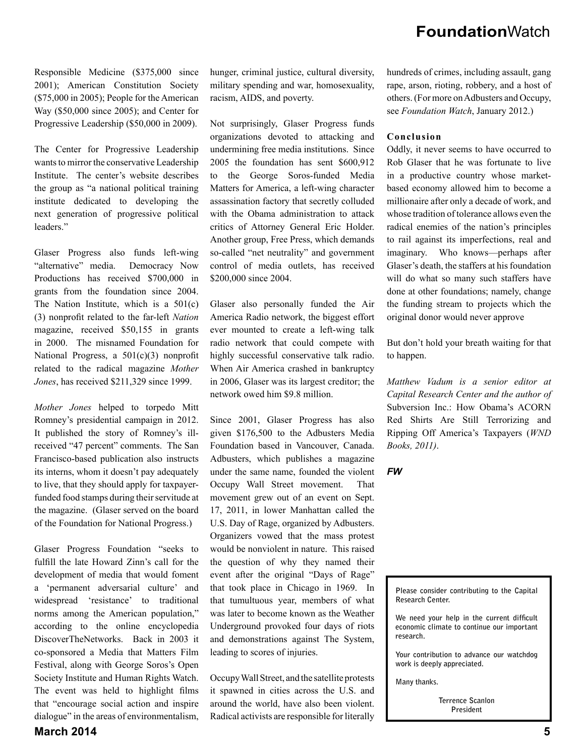Responsible Medicine (\$375,000 since 2001); American Constitution Society (\$75,000 in 2005); People for the American Way (\$50,000 since 2005); and Center for Progressive Leadership (\$50,000 in 2009).

The Center for Progressive Leadership wants to mirror the conservative Leadership Institute. The center's website describes the group as "a national political training institute dedicated to developing the next generation of progressive political leaders."

Glaser Progress also funds left-wing "alternative" media. Democracy Now Productions has received \$700,000 in grants from the foundation since 2004. The Nation Institute, which is a 501(c) (3) nonprofi t related to the far-left *Nation* magazine, received \$50,155 in grants in 2000. The misnamed Foundation for National Progress, a  $501(c)(3)$  nonprofit related to the radical magazine *Mother Jones*, has received \$211,329 since 1999.

*Mother Jones* helped to torpedo Mitt Romney's presidential campaign in 2012. It published the story of Romney's illreceived "47 percent" comments. The San Francisco-based publication also instructs its interns, whom it doesn't pay adequately to live, that they should apply for taxpayerfunded food stamps during their servitude at the magazine. (Glaser served on the board of the Foundation for National Progress.)

Glaser Progress Foundation "seeks to fulfill the late Howard Zinn's call for the development of media that would foment a 'permanent adversarial culture' and widespread 'resistance' to traditional norms among the American population," according to the online encyclopedia DiscoverTheNetworks. Back in 2003 it co-sponsored a Media that Matters Film Festival, along with George Soros's Open Society Institute and Human Rights Watch. The event was held to highlight films that "encourage social action and inspire dialogue" in the areas of environmentalism,

hunger, criminal justice, cultural diversity, military spending and war, homosexuality, racism, AIDS, and poverty.

Not surprisingly, Glaser Progress funds organizations devoted to attacking and undermining free media institutions. Since 2005 the foundation has sent \$600,912 to the George Soros-funded Media Matters for America, a left-wing character assassination factory that secretly colluded with the Obama administration to attack critics of Attorney General Eric Holder. Another group, Free Press, which demands so-called "net neutrality" and government control of media outlets, has received \$200,000 since 2004.

Glaser also personally funded the Air America Radio network, the biggest effort ever mounted to create a left-wing talk radio network that could compete with highly successful conservative talk radio. When Air America crashed in bankruptcy in 2006, Glaser was its largest creditor; the network owed him \$9.8 million.

Since 2001, Glaser Progress has also given \$176,500 to the Adbusters Media Foundation based in Vancouver, Canada. Adbusters, which publishes a magazine under the same name, founded the violent Occupy Wall Street movement. That movement grew out of an event on Sept. 17, 2011, in lower Manhattan called the U.S. Day of Rage, organized by Adbusters. Organizers vowed that the mass protest would be nonviolent in nature. This raised the question of why they named their event after the original "Days of Rage" that took place in Chicago in 1969. In that tumultuous year, members of what was later to become known as the Weather Underground provoked four days of riots and demonstrations against The System, leading to scores of injuries.

Occupy Wall Street, and the satellite protests it spawned in cities across the U.S. and around the world, have also been violent. Radical activists are responsible for literally

hundreds of crimes, including assault, gang rape, arson, rioting, robbery, and a host of others. (For more on Adbusters and Occupy, see *Foundation Watch*, January 2012.)

#### **Conclusion**

Oddly, it never seems to have occurred to Rob Glaser that he was fortunate to live in a productive country whose marketbased economy allowed him to become a millionaire after only a decade of work, and whose tradition of tolerance allows even the radical enemies of the nation's principles to rail against its imperfections, real and imaginary. Who knows—perhaps after Glaser's death, the staffers at his foundation will do what so many such staffers have done at other foundations; namely, change the funding stream to projects which the original donor would never approve

But don't hold your breath waiting for that to happen.

*Matthew Vadum is a senior editor at Capital Research Center and the author of*  Subversion Inc.: How Obama's ACORN Red Shirts Are Still Terrorizing and Ripping Off America's Taxpayers (*WND Books, 2011)*.

*FW*



We need your help in the current difficult **economic climate to continue our important research.** 

**Your contribution to advance our watchdog work is deeply appreciated.** 

**Many thanks.** 

**Terrence Scanlon President**